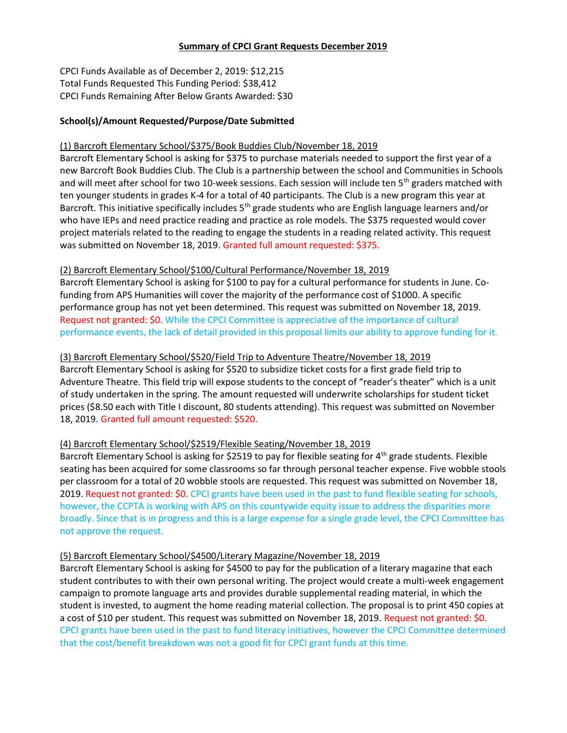#### Summary of CPCI Grant Requests December 2019

CPCI Funds Available as of December 2, 2019: \$12,215 Total Funds Requested This Funding Period: \$38,412 CPCI Funds Remaining After Below Grants Awarded: \$30

## School(s)/Amount Requested/Purpose/Date Submitted

#### (1) Barcroft Elementary School/\$375/Book Buddies Club/November 18, 2019

Barcroft Elementary School is asking for \$375 to purchase materials needed to support the first year of a new Barcroft Book Buddies Club. The Club is a partnership between the school and Communities in Schools and will meet after school for two 10-week sessions. Each session will include ten 5<sup>th</sup> graders matched with ten younger students in grades K-4 for a total of 40 participants. The Club is a new program this year at Barcroft. This initiative specifically includes  $5<sup>th</sup>$  grade students who are English language learners and/or who have IEPs and need practice reading and practice as role models. The \$375 requested would cover project materials related to the reading to engage the students in a reading related activity. This request was submitted on November 18, 2019. Granted full amount requested: \$375.

#### (2) Barcroft Elementary School/\$100/Cultural Performance/November 18, 2019

Barcroft Elementary School is asking for \$100 to pay for a cultural performance for students in June. Cofunding from APS Humanities will cover the majority of the performance cost of \$1000. A specific performance group has not yet been determined. This request was submitted on November 18, 2019. Request not granted: \$0. While the CPCI Committee is appreciative of the importance of cultural performance events, the lack of detail provided in this proposal limits our ability to approve funding for it.

## (3) Barcroft Elementary School/\$520/Field Trip to Adventure Theatre/November 18, 2019

Barcroft Elementary School is asking for \$520 to subsidize ticket costs for a first grade field trip to Adventure Theatre. This field trip will expose students to the concept of "reader's theater" which is a unit of study undertaken in the spring. The amount requested will underwrite scholarships for student ticket prices (\$8.50 each with Title I discount, 80 students attending). This request was submitted on November 18, 2019. Granted full amount requested: \$520.

## (4) Barcroft Elementary School/\$2519/Flexible Seating/November 18, 2019

Barcroft Elementary School is asking for \$2519 to pay for flexible seating for 4<sup>th</sup> grade students. Flexible seating has been acquired for some classrooms so far through personal teacher expense. Five wobble stools per classroom for a total of 20 wobble stools are requested. This request was submitted on November 18, 2019. Request not granted: \$0. CPCI grants have been used in the past to fund flexible seating for schools, however, the CCPTA is working with APS on this countywide equity issue to address the disparities more broadly. Since that is in progress and this is a large expense for a single grade level, the CPCI Committee has not approve the request.

#### (5) Barcroft Elementary School/\$4500/Literary Magazine/November 18, 2019

Barcroft Elementary School is asking for \$4500 to pay for the publication of a literary magazine that each student contributes to with their own personal writing. The project would create a multi-week engagement campaign to promote language arts and provides durable supplemental reading material, in which the student is invested, to augment the home reading material collection. The proposal is to print 450 copies at a cost of \$10 per student. This request was submitted on November 18, 2019. Request not granted: \$0. CPCI grants have been used in the past to fund literacy initiatives, however the CPCI Committee determined that the cost/benefit breakdown was not a good fit for CPCI grant funds at this time.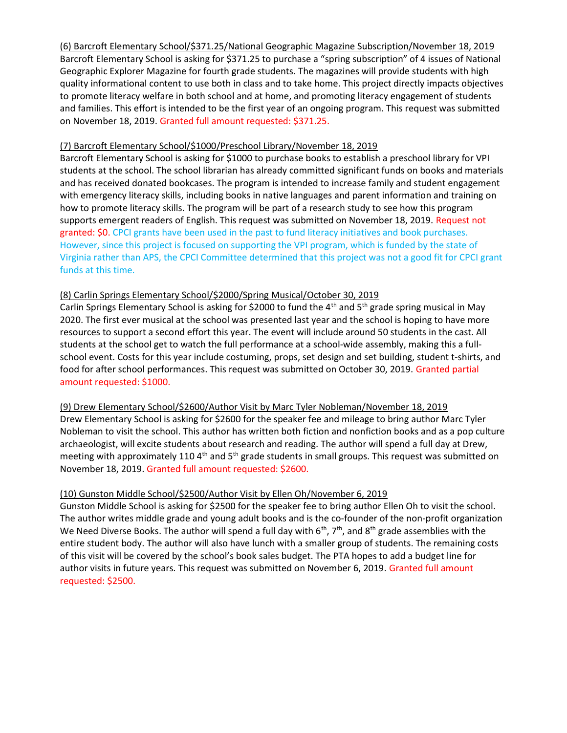(6) Barcroft Elementary School/\$371.25/National Geographic Magazine Subscription/November 18, 2019 Barcroft Elementary School is asking for \$371.25 to purchase a "spring subscription" of 4 issues of National Geographic Explorer Magazine for fourth grade students. The magazines will provide students with high quality informational content to use both in class and to take home. This project directly impacts objectives to promote literacy welfare in both school and at home, and promoting literacy engagement of students and families. This effort is intended to be the first year of an ongoing program. This request was submitted on November 18, 2019. Granted full amount requested: \$371.25.

#### (7) Barcroft Elementary School/\$1000/Preschool Library/November 18, 2019

Barcroft Elementary School is asking for \$1000 to purchase books to establish a preschool library for VPI students at the school. The school librarian has already committed significant funds on books and materials and has received donated bookcases. The program is intended to increase family and student engagement with emergency literacy skills, including books in native languages and parent information and training on how to promote literacy skills. The program will be part of a research study to see how this program supports emergent readers of English. This request was submitted on November 18, 2019. Request not granted: \$0. CPCI grants have been used in the past to fund literacy initiatives and book purchases. However, since this project is focused on supporting the VPI program, which is funded by the state of Virginia rather than APS, the CPCI Committee determined that this project was not a good fit for CPCI grant funds at this time.

## (8) Carlin Springs Elementary School/\$2000/Spring Musical/October 30, 2019

Carlin Springs Elementary School is asking for \$2000 to fund the 4<sup>th</sup> and 5<sup>th</sup> grade spring musical in May 2020. The first ever musical at the school was presented last year and the school is hoping to have more resources to support a second effort this year. The event will include around 50 students in the cast. All students at the school get to watch the full performance at a school-wide assembly, making this a fullschool event. Costs for this year include costuming, props, set design and set building, student t-shirts, and food for after school performances. This request was submitted on October 30, 2019. Granted partial amount requested: \$1000.

(9) Drew Elementary School/\$2600/Author Visit by Marc Tyler Nobleman/November 18, 2019 Drew Elementary School is asking for \$2600 for the speaker fee and mileage to bring author Marc Tyler Nobleman to visit the school. This author has written both fiction and nonfiction books and as a pop culture archaeologist, will excite students about research and reading. The author will spend a full day at Drew, meeting with approximately 110 4<sup>th</sup> and 5<sup>th</sup> grade students in small groups. This request was submitted on November 18, 2019. Granted full amount requested: \$2600.

## (10) Gunston Middle School/\$2500/Author Visit by Ellen Oh/November 6, 2019

Gunston Middle School is asking for \$2500 for the speaker fee to bring author Ellen Oh to visit the school. The author writes middle grade and young adult books and is the co-founder of the non-profit organization We Need Diverse Books. The author will spend a full day with  $6<sup>th</sup>$ , 7<sup>th</sup>, and  $8<sup>th</sup>$  grade assemblies with the entire student body. The author will also have lunch with a smaller group of students. The remaining costs of this visit will be covered by the school's book sales budget. The PTA hopes to add a budget line for author visits in future years. This request was submitted on November 6, 2019. Granted full amount requested: \$2500.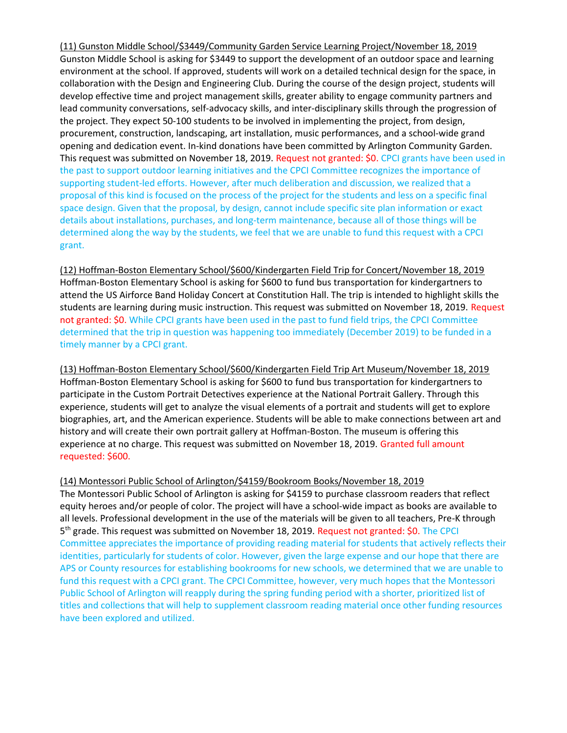(11) Gunston Middle School/\$3449/Community Garden Service Learning Project/November 18, 2019 Gunston Middle School is asking for \$3449 to support the development of an outdoor space and learning environment at the school. If approved, students will work on a detailed technical design for the space, in collaboration with the Design and Engineering Club. During the course of the design project, students will develop effective time and project management skills, greater ability to engage community partners and lead community conversations, self-advocacy skills, and inter-disciplinary skills through the progression of the project. They expect 50-100 students to be involved in implementing the project, from design, procurement, construction, landscaping, art installation, music performances, and a school-wide grand opening and dedication event. In-kind donations have been committed by Arlington Community Garden. This request was submitted on November 18, 2019. Request not granted: \$0. CPCI grants have been used in the past to support outdoor learning initiatives and the CPCI Committee recognizes the importance of supporting student-led efforts. However, after much deliberation and discussion, we realized that a proposal of this kind is focused on the process of the project for the students and less on a specific final space design. Given that the proposal, by design, cannot include specific site plan information or exact details about installations, purchases, and long-term maintenance, because all of those things will be determined along the way by the students, we feel that we are unable to fund this request with a CPCI grant.

(12) Hoffman-Boston Elementary School/\$600/Kindergarten Field Trip for Concert/November 18, 2019 Hoffman-Boston Elementary School is asking for \$600 to fund bus transportation for kindergartners to attend the US Airforce Band Holiday Concert at Constitution Hall. The trip is intended to highlight skills the students are learning during music instruction. This request was submitted on November 18, 2019. Request not granted: \$0. While CPCI grants have been used in the past to fund field trips, the CPCI Committee determined that the trip in question was happening too immediately (December 2019) to be funded in a timely manner by a CPCI grant.

(13) Hoffman-Boston Elementary School/\$600/Kindergarten Field Trip Art Museum/November 18, 2019 Hoffman-Boston Elementary School is asking for \$600 to fund bus transportation for kindergartners to participate in the Custom Portrait Detectives experience at the National Portrait Gallery. Through this experience, students will get to analyze the visual elements of a portrait and students will get to explore biographies, art, and the American experience. Students will be able to make connections between art and history and will create their own portrait gallery at Hoffman-Boston. The museum is offering this experience at no charge. This request was submitted on November 18, 2019. Granted full amount requested: \$600.

## (14) Montessori Public School of Arlington/\$4159/Bookroom Books/November 18, 2019

The Montessori Public School of Arlington is asking for \$4159 to purchase classroom readers that reflect equity heroes and/or people of color. The project will have a school-wide impact as books are available to all levels. Professional development in the use of the materials will be given to all teachers, Pre-K through 5<sup>th</sup> grade. This request was submitted on November 18, 2019. Request not granted: \$0. The CPCI Committee appreciates the importance of providing reading material for students that actively reflects their identities, particularly for students of color. However, given the large expense and our hope that there are APS or County resources for establishing bookrooms for new schools, we determined that we are unable to fund this request with a CPCI grant. The CPCI Committee, however, very much hopes that the Montessori Public School of Arlington will reapply during the spring funding period with a shorter, prioritized list of titles and collections that will help to supplement classroom reading material once other funding resources have been explored and utilized.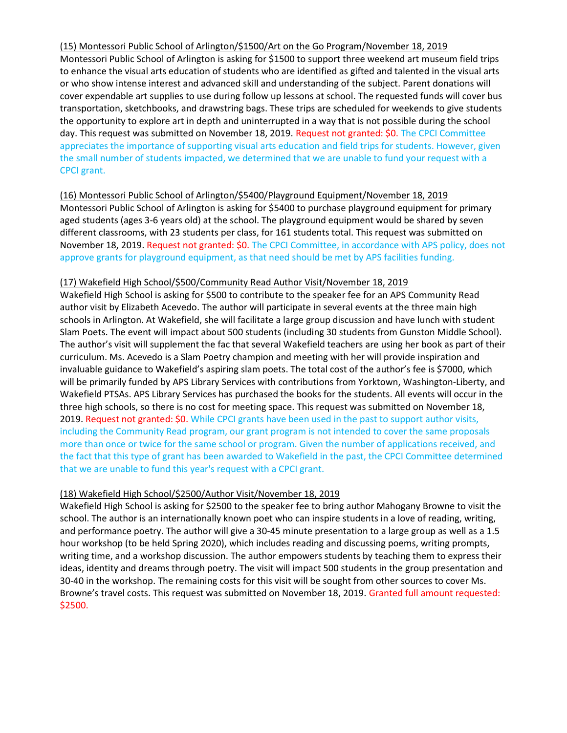(15) Montessori Public School of Arlington/\$1500/Art on the Go Program/November 18, 2019 Montessori Public School of Arlington is asking for \$1500 to support three weekend art museum field trips to enhance the visual arts education of students who are identified as gifted and talented in the visual arts or who show intense interest and advanced skill and understanding of the subject. Parent donations will cover expendable art supplies to use during follow up lessons at school. The requested funds will cover bus transportation, sketchbooks, and drawstring bags. These trips are scheduled for weekends to give students the opportunity to explore art in depth and uninterrupted in a way that is not possible during the school day. This request was submitted on November 18, 2019. Request not granted: \$0. The CPCI Committee appreciates the importance of supporting visual arts education and field trips for students. However, given the small number of students impacted, we determined that we are unable to fund your request with a CPCI grant.

## (16) Montessori Public School of Arlington/\$5400/Playground Equipment/November 18, 2019

Montessori Public School of Arlington is asking for \$5400 to purchase playground equipment for primary aged students (ages 3-6 years old) at the school. The playground equipment would be shared by seven different classrooms, with 23 students per class, for 161 students total. This request was submitted on November 18, 2019. Request not granted: \$0. The CPCI Committee, in accordance with APS policy, does not approve grants for playground equipment, as that need should be met by APS facilities funding.

## (17) Wakefield High School/\$500/Community Read Author Visit/November 18, 2019

Wakefield High School is asking for \$500 to contribute to the speaker fee for an APS Community Read author visit by Elizabeth Acevedo. The author will participate in several events at the three main high schools in Arlington. At Wakefield, she will facilitate a large group discussion and have lunch with student Slam Poets. The event will impact about 500 students (including 30 students from Gunston Middle School). The author's visit will supplement the fac that several Wakefield teachers are using her book as part of their curriculum. Ms. Acevedo is a Slam Poetry champion and meeting with her will provide inspiration and invaluable guidance to Wakefield's aspiring slam poets. The total cost of the author's fee is \$7000, which will be primarily funded by APS Library Services with contributions from Yorktown, Washington-Liberty, and Wakefield PTSAs. APS Library Services has purchased the books for the students. All events will occur in the three high schools, so there is no cost for meeting space. This request was submitted on November 18, 2019. Request not granted: \$0. While CPCI grants have been used in the past to support author visits, including the Community Read program, our grant program is not intended to cover the same proposals more than once or twice for the same school or program. Given the number of applications received, and the fact that this type of grant has been awarded to Wakefield in the past, the CPCI Committee determined that we are unable to fund this year's request with a CPCI grant.

## (18) Wakefield High School/\$2500/Author Visit/November 18, 2019

Wakefield High School is asking for \$2500 to the speaker fee to bring author Mahogany Browne to visit the school. The author is an internationally known poet who can inspire students in a love of reading, writing, and performance poetry. The author will give a 30-45 minute presentation to a large group as well as a 1.5 hour workshop (to be held Spring 2020), which includes reading and discussing poems, writing prompts, writing time, and a workshop discussion. The author empowers students by teaching them to express their ideas, identity and dreams through poetry. The visit will impact 500 students in the group presentation and 30-40 in the workshop. The remaining costs for this visit will be sought from other sources to cover Ms. Browne's travel costs. This request was submitted on November 18, 2019. Granted full amount requested: \$2500.